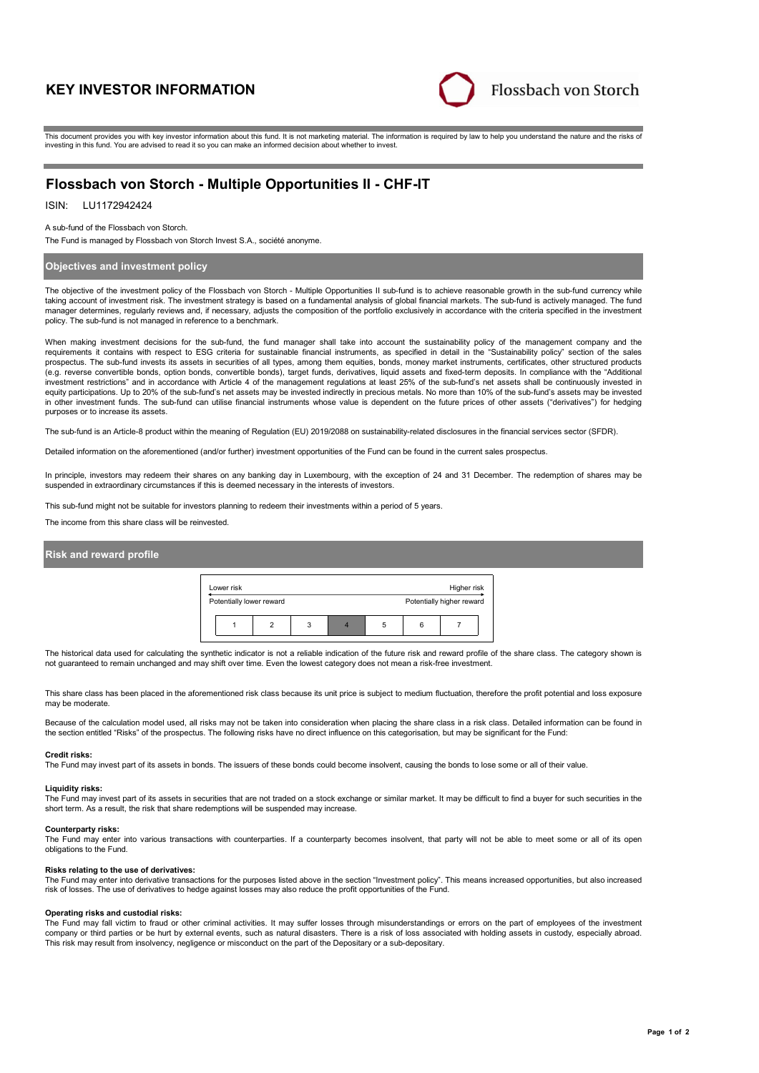# **KEY INVESTOR INFORMATION**



This document provides you with key investor information about this fund. It is not marketing material. The information is required by law to help you understand the nature and the risks of investing in this fund. You are advised to read it so you can make an informed decision about whether to invest.

# **Flossbach von Storch - Multiple Opportunities II - CHF-IT**

# ISIN: LU1172942424

#### A sub-fund of the Flossbach von Storch.

The Fund is managed by Flossbach von Storch Invest S.A., société anonyme.

## **Objectives and investment policy**

The objective of the investment policy of the Flossbach von Storch - Multiple Opportunities II sub-fund is to achieve reasonable growth in the sub-fund currency while taking account of investment risk. The investment strategy is based on a fundamental analysis of global financial markets. The sub-fund is actively managed. The fund manager determines, regularly reviews and, if necessary, adjusts the composition of the portfolio exclusively in accordance with the criteria specified in the investment policy. The sub-fund is not managed in reference to a benchmark.

When making investment decisions for the sub-fund, the fund manager shall take into account the sustainability policy of the management company and the requirements it contains with respect to ESG criteria for sustainable financial instruments, as specified in detail in the "Sustainability policy" section of the sales prospectus. The sub-fund invests its assets in securities of all types, among them equities, bonds, money market instruments, certificates, other structured products (e.g. reverse convertible bonds, option bonds, convertible bonds), target funds, derivatives, liquid assets and fixed-term deposits. In compliance with the "Additional investment restrictions" and in accordance with Article 4 of the management regulations at least 25% of the sub-fund's net assets shall be continuously invested in equity participations. Up to 20% of the sub-fund's net assets may be invested indirectly in precious metals. No more than 10% of the sub-fund's assets may be invested in other investment funds. The sub-fund can utilise financial instruments whose value is dependent on the future prices of other assets ("derivatives") for hedging purposes or to increase its assets.

The sub-fund is an Article-8 product within the meaning of Regulation (EU) 2019/2088 on sustainability-related disclosures in the financial services sector (SFDR).

Detailed information on the aforementioned (and/or further) investment opportunities of the Fund can be found in the current sales prospectus.

In principle, investors may redeem their shares on any banking day in Luxembourg, with the exception of 24 and 31 December. The redemption of shares may be suspended in extraordinary circumstances if this is deemed necessary in the interests of investors.

This sub-fund might not be suitable for investors planning to redeem their investments within a period of 5 years.

The income from this share class will be reinvested.

### **Risk and reward profile**



The historical data used for calculating the synthetic indicator is not a reliable indication of the future risk and reward profile of the share class. The category shown is not guaranteed to remain unchanged and may shift over time. Even the lowest category does not mean a risk-free investment.

This share class has been placed in the aforementioned risk class because its unit price is subject to medium fluctuation, therefore the profit potential and loss exposure may be moderate.

Because of the calculation model used, all risks may not be taken into consideration when placing the share class in a risk class. Detailed information can be found in the section entitled "Risks" of the prospectus. The following risks have no direct influence on this categorisation, but may be significant for the Fund:

#### **Credit risks:**

The Fund may invest part of its assets in bonds. The issuers of these bonds could become insolvent, causing the bonds to lose some or all of their value.

#### **Liquidity risks:**

The Fund may invest part of its assets in securities that are not traded on a stock exchange or similar market. It may be difficult to find a buyer for such securities in the short term. As a result, the risk that share redemptions will be suspended may increase.

#### **Counterparty risks:**

The Fund may enter into various transactions with counterparties. If a counterparty becomes insolvent, that party will not be able to meet some or all of its open obligations to the Fund.

#### **Risks relating to the use of derivatives:**

The Fund may enter into derivative transactions for the purposes listed above in the section "Investment policy". This means increased opportunities, but also increased risk of losses. The use of derivatives to hedge against losses may also reduce the profit opportunities of the Fund.

#### **Operating risks and custodial risks:**

The Fund may fall victim to fraud or other criminal activities. It may suffer losses through misunderstandings or errors on the part of employees of the investment company or third parties or be hurt by external events, such as natural disasters. There is a risk of loss associated with holding assets in custody, especially abroad. This risk may result from insolvency, negligence or misconduct on the part of the Depositary or a sub-depositary.